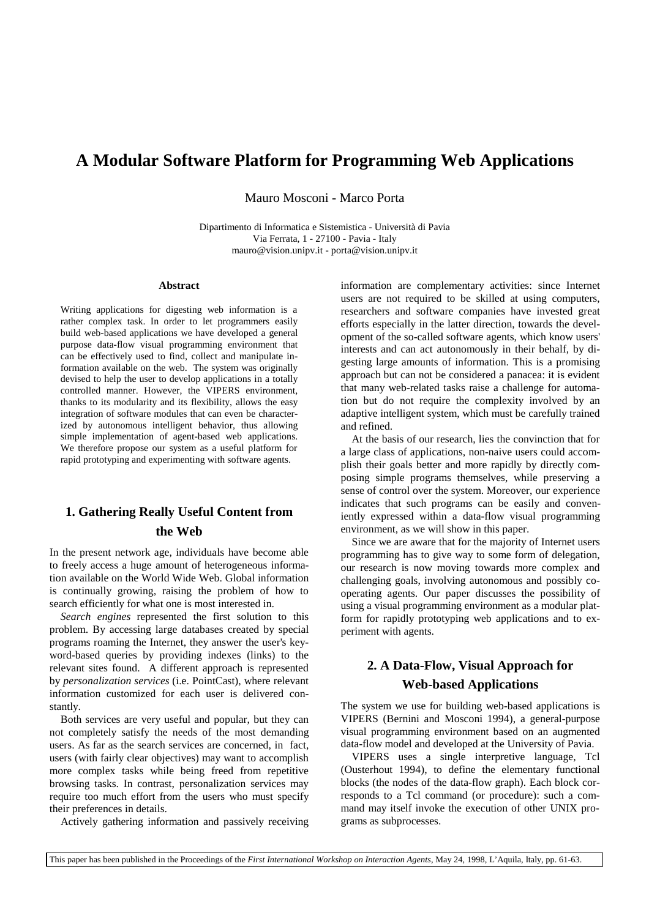# **A Modular Software Platform for Programming Web Applications**

Mauro Mosconi - Marco Porta

Dipartimento di Informatica e Sistemistica - Università di Pavia Via Ferrata, 1 - 27100 - Pavia - Italy mauro@vision.unipv.it - porta@vision.unipv.it

### **Abstract**

Writing applications for digesting web information is a rather complex task. In order to let programmers easily build web-based applications we have developed a general purpose data-flow visual programming environment that can be effectively used to find, collect and manipulate information available on the web. The system was originally devised to help the user to develop applications in a totally controlled manner. However, the VIPERS environment, thanks to its modularity and its flexibility, allows the easy integration of software modules that can even be characterized by autonomous intelligent behavior, thus allowing simple implementation of agent-based web applications. We therefore propose our system as a useful platform for rapid prototyping and experimenting with software agents.

# **1. Gathering Really Useful Content from the Web**

In the present network age, individuals have become able to freely access a huge amount of heterogeneous information available on the World Wide Web. Global information is continually growing, raising the problem of how to search efficiently for what one is most interested in.

*Search engines* represented the first solution to this problem. By accessing large databases created by special programs roaming the Internet, they answer the user's keyword-based queries by providing indexes (links) to the relevant sites found. A different approach is represented by *personalization services* (i.e. PointCast), where relevant information customized for each user is delivered constantly.

Both services are very useful and popular, but they can not completely satisfy the needs of the most demanding users. As far as the search services are concerned, in fact, users (with fairly clear objectives) may want to accomplish more complex tasks while being freed from repetitive browsing tasks. In contrast, personalization services may require too much effort from the users who must specify their preferences in details.

Actively gathering information and passively receiving

information are complementary activities: since Internet users are not required to be skilled at using computers, researchers and software companies have invested great efforts especially in the latter direction, towards the development of the so-called software agents, which know users' interests and can act autonomously in their behalf, by digesting large amounts of information. This is a promising approach but can not be considered a panacea: it is evident that many web-related tasks raise a challenge for automation but do not require the complexity involved by an adaptive intelligent system, which must be carefully trained and refined.

At the basis of our research, lies the convinction that for a large class of applications, non-naive users could accomplish their goals better and more rapidly by directly composing simple programs themselves, while preserving a sense of control over the system. Moreover, our experience indicates that such programs can be easily and conveniently expressed within a data-flow visual programming environment, as we will show in this paper.

Since we are aware that for the majority of Internet users programming has to give way to some form of delegation, our research is now moving towards more complex and challenging goals, involving autonomous and possibly cooperating agents. Our paper discusses the possibility of using a visual programming environment as a modular platform for rapidly prototyping web applications and to experiment with agents.

# **2. A Data-Flow, Visual Approach for Web-based Applications**

The system we use for building web-based applications is VIPERS (Bernini and Mosconi 1994), a general-purpose visual programming environment based on an augmented data-flow model and developed at the University of Pavia.

VIPERS uses a single interpretive language, Tcl (Ousterhout 1994), to define the elementary functional blocks (the nodes of the data-flow graph). Each block corresponds to a Tcl command (or procedure): such a command may itself invoke the execution of other UNIX programs as subprocesses.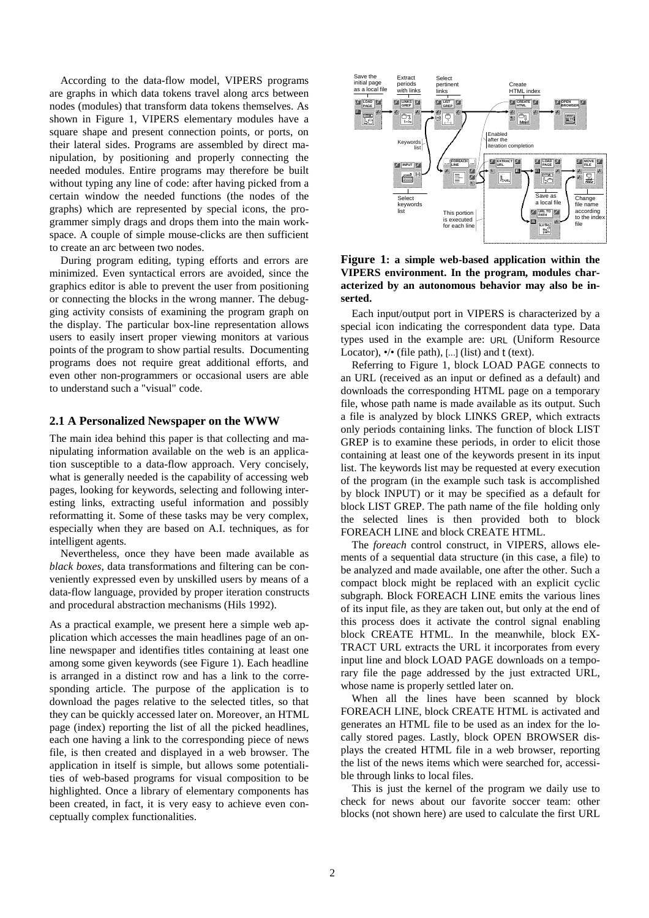According to the data-flow model, VIPERS programs are graphs in which data tokens travel along arcs between nodes (modules) that transform data tokens themselves. As shown in Figure 1, VIPERS elementary modules have a square shape and present connection points, or ports, on their lateral sides. Programs are assembled by direct manipulation, by positioning and properly connecting the needed modules. Entire programs may therefore be built without typing any line of code: after having picked from a certain window the needed functions (the nodes of the graphs) which are represented by special icons, the programmer simply drags and drops them into the main workspace. A couple of simple mouse-clicks are then sufficient to create an arc between two nodes.

During program editing, typing efforts and errors are minimized. Even syntactical errors are avoided, since the graphics editor is able to prevent the user from positioning or connecting the blocks in the wrong manner. The debugging activity consists of examining the program graph on the display. The particular box-line representation allows users to easily insert proper viewing monitors at various points of the program to show partial results. Documenting programs does not require great additional efforts, and even other non-programmers or occasional users are able to understand such a "visual" code.

#### **2.1 A Personalized Newspaper on the WWW**

The main idea behind this paper is that collecting and manipulating information available on the web is an application susceptible to a data-flow approach. Very concisely, what is generally needed is the capability of accessing web pages, looking for keywords, selecting and following interesting links, extracting useful information and possibly reformatting it. Some of these tasks may be very complex, especially when they are based on A.I. techniques, as for intelligent agents.

Nevertheless, once they have been made available as *black boxes*, data transformations and filtering can be conveniently expressed even by unskilled users by means of a data-flow language, provided by proper iteration constructs and procedural abstraction mechanisms (Hils 1992).

As a practical example, we present here a simple web application which accesses the main headlines page of an online newspaper and identifies titles containing at least one among some given keywords (see Figure 1). Each headline is arranged in a distinct row and has a link to the corresponding article. The purpose of the application is to download the pages relative to the selected titles, so that they can be quickly accessed later on. Moreover, an HTML page (index) reporting the list of all the picked headlines, each one having a link to the corresponding piece of news file, is then created and displayed in a web browser. The application in itself is simple, but allows some potentialities of web-based programs for visual composition to be highlighted. Once a library of elementary components has been created, in fact, it is very easy to achieve even conceptually complex functionalities.



**Figure 1: a simple web-based application within the VIPERS environment. In the program, modules characterized by an autonomous behavior may also be inserted.** 

Each input/output port in VIPERS is characterized by a special icon indicating the correspondent data type. Data types used in the example are: URL (Uniform Resource Locator),  $\bullet/\bullet$  (file path), [...] (list) and t (text).

Referring to Figure 1, block LOAD PAGE connects to an URL (received as an input or defined as a default) and downloads the corresponding HTML page on a temporary file, whose path name is made available as its output. Such a file is analyzed by block LINKS GREP, which extracts only periods containing links. The function of block LIST GREP is to examine these periods, in order to elicit those containing at least one of the keywords present in its input list. The keywords list may be requested at every execution of the program (in the example such task is accomplished by block INPUT) or it may be specified as a default for block LIST GREP. The path name of the file holding only the selected lines is then provided both to block FOREACH LINE and block CREATE HTML.

The *foreach* control construct, in VIPERS, allows elements of a sequential data structure (in this case, a file) to be analyzed and made available, one after the other. Such a compact block might be replaced with an explicit cyclic subgraph. Block FOREACH LINE emits the various lines of its input file, as they are taken out, but only at the end of this process does it activate the control signal enabling block CREATE HTML. In the meanwhile, block EX-TRACT URL extracts the URL it incorporates from every input line and block LOAD PAGE downloads on a temporary file the page addressed by the just extracted URL, whose name is properly settled later on.

When all the lines have been scanned by block FOREACH LINE, block CREATE HTML is activated and generates an HTML file to be used as an index for the locally stored pages. Lastly, block OPEN BROWSER displays the created HTML file in a web browser, reporting the list of the news items which were searched for, accessible through links to local files.

This is just the kernel of the program we daily use to check for news about our favorite soccer team: other blocks (not shown here) are used to calculate the first URL